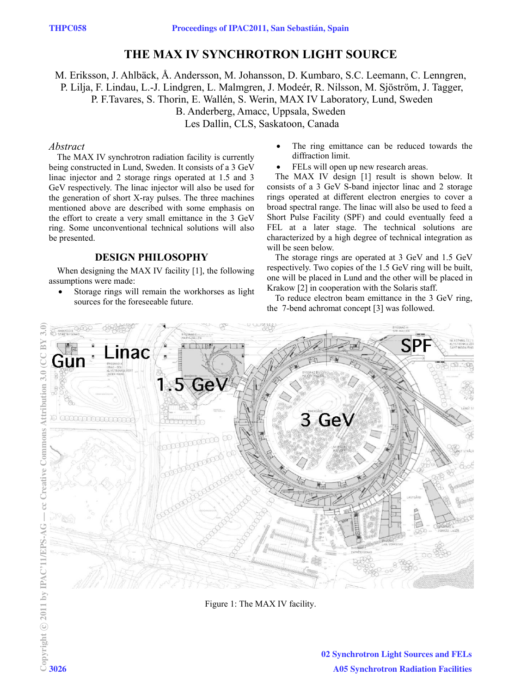# **THE MAX IV SYNCHROTRON LIGHT SOURCE**

M. Eriksson, J. Ahlbäck, Å. Andersson, M. Johansson, D. Kumbaro, S.C. Leemann, C. Lenngren, P. Lilja, F. Lindau, L.-J. Lindgren, L. Malmgren, J. Modeér, R. Nilsson, M. Sjöström, J. Tagger, P. F.Tavares, S. Thorin, E. Wallén, S. Werin, MAX IV Laboratory, Lund, Sweden

B. Anderberg, Amacc, Uppsala, Sweden

Les Dallin, CLS, Saskatoon, Canada

#### *Abstract*

The MAX IV synchrotron radiation facility is currently being constructed in Lund, Sweden. It consists of a 3 GeV linac injector and 2 storage rings operated at 1.5 and 3 GeV respectively. The linac injector will also be used for the generation of short X-ray pulses. The three machines mentioned above are described with some emphasis on the effort to create a very small emittance in the 3 GeV ring. Some unconventional technical solutions will also be presented.

# **DESIGN PHILOSOPHY**

When designing the MAX IV facility [1], the following assumptions were made:

 Storage rings will remain the workhorses as light sources for the foreseeable future.

- The ring emittance can be reduced towards the diffraction limit.
- FELs will open up new research areas.

The MAX IV design [1] result is shown below. It consists of a 3 GeV S-band injector linac and 2 storage rings operated at different electron energies to cover a broad spectral range. The linac will also be used to feed a Short Pulse Facility (SPF) and could eventually feed a FEL at a later stage. The technical solutions are characterized by a high degree of technical integration as will be seen below.

The storage rings are operated at 3 GeV and 1.5 GeV respectively. Two copies of the 1.5 GeV ring will be built, one will be placed in Lund and the other will be placed in Krakow [2] in cooperation with the Solaris staff.

To reduce electron beam emittance in the 3 GeV ring, the 7-bend achromat concept [3] was followed.



Figure 1: The MAX IV facility.

c○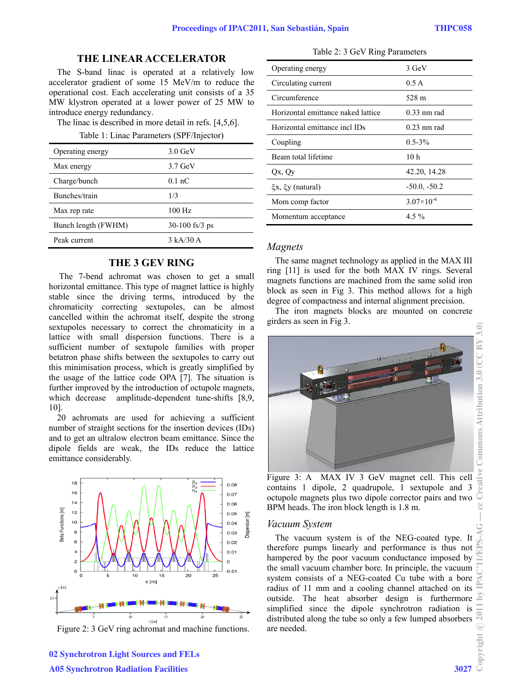## **THE LINEAR ACCELERATOR**

The S-band linac is operated at a relatively low accelerator gradient of some 15 MeV/m to reduce the operational cost. Each accelerating unit consists of a 35 MW klystron operated at a lower power of 25 MW to introduce energy redundancy.

The linac is described in more detail in refs. [4,5,6].

Table 1: Linac Parameters (SPF/Injector)

| Operating energy    | $3.0 \text{ GeV}$             |
|---------------------|-------------------------------|
| Max energy          | $3.7$ GeV                     |
| Charge/bunch        | $0.1 \text{ nC}$              |
| Bunches/train       | 1/3                           |
| Max rep rate        | $100$ Hz                      |
| Bunch length (FWHM) | $30-100$ fs/3 ps              |
| Peak current        | $3 \text{ kA} / 30 \text{ A}$ |

# **THE 3 GEV RING**

 The 7-bend achromat was chosen to get a small horizontal emittance. This type of magnet lattice is highly stable since the driving terms, introduced by the chromaticity correcting sextupoles, can be almost cancelled within the achromat itself, despite the strong sextupoles necessary to correct the chromaticity in a lattice with small dispersion functions. There is a sufficient number of sextupole families with proper betatron phase shifts between the sextupoles to carry out this minimisation process, which is greatly simplified by the usage of the lattice code OPA [7]. The situation is further improved by the introduction of octupole magnets, which decrease amplitude-dependent tune-shifts [8,9, 10].

20 achromats are used for achieving a sufficient number of straight sections for the insertion devices (IDs) and to get an ultralow electron beam emittance. Since the dipole fields are weak, the IDs reduce the lattice emittance considerably.



Figure 2: 3 GeV ring achromat and machine functions.

| Operating energy                   | 3 GeV               |
|------------------------------------|---------------------|
| Circulating current                | 0.5A                |
| Circumference                      | 528 m               |
| Horizontal emittance naked lattice | $0.33$ nm rad       |
| Horizontal emittance incl IDs      | $0.23$ nm rad       |
| Coupling                           | $0.5 - 3\%$         |
| Beam total lifetime                | 10h                 |
| Qx, Qy                             | 42.20, 14.28        |
| $\xi x$ , $\xi y$ (natural)        | $-50.0, -50.2$      |
| Mom comp factor                    | $3.07\times10^{-4}$ |
| Momentum acceptance                | $4.5\%$             |

#### *Magnets*

The same magnet technology as applied in the MAX III ring [11] is used for the both MAX IV rings. Several magnets functions are machined from the same solid iron block as seen in Fig 3. This method allows for a high degree of compactness and internal alignment precision.

The iron magnets blocks are mounted on concrete girders as seen in Fig 3.



Figure 3: A MAX IV 3 GeV magnet cell. This cell contains 1 dipole, 2 quadrupole, 1 sextupole and 3 octupole magnets plus two dipole corrector pairs and two BPM heads. The iron block length is 1.8 m.

#### *Vacuum System*

The vacuum system is of the NEG-coated type. It therefore pumps linearly and performance is thus not hampered by the poor vacuum conductance imposed by the small vacuum chamber bore. In principle, the vacuum system consists of a NEG-coated Cu tube with a bore radius of 11 mm and a cooling channel attached on its outside. The heat absorber design is furthermore simplified since the dipole synchrotron radiation is distributed along the tube so only a few lumped absorbers are needed.